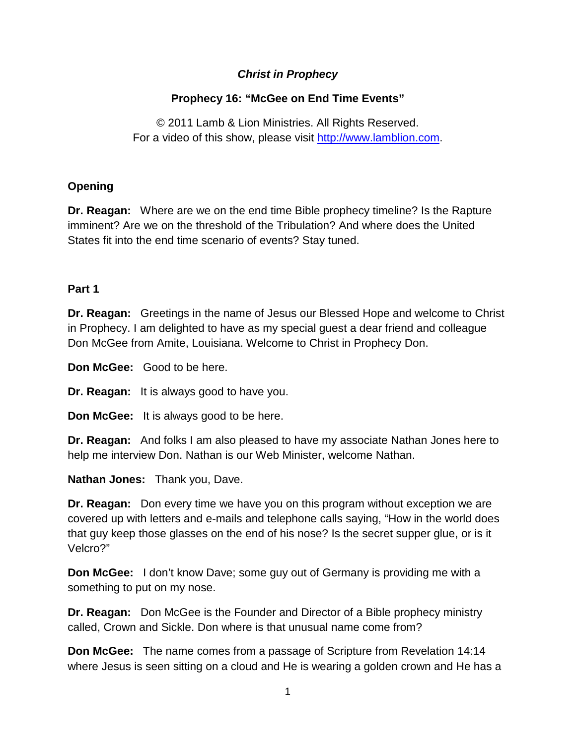## *Christ in Prophecy*

# **Prophecy 16: "McGee on End Time Events"**

© 2011 Lamb & Lion Ministries. All Rights Reserved. For a video of this show, please visit [http://www.lamblion.com.](http://www.lamblion.com/)

#### **Opening**

**Dr. Reagan:** Where are we on the end time Bible prophecy timeline? Is the Rapture imminent? Are we on the threshold of the Tribulation? And where does the United States fit into the end time scenario of events? Stay tuned.

#### **Part 1**

**Dr. Reagan:** Greetings in the name of Jesus our Blessed Hope and welcome to Christ in Prophecy. I am delighted to have as my special guest a dear friend and colleague Don McGee from Amite, Louisiana. Welcome to Christ in Prophecy Don.

**Don McGee:** Good to be here.

**Dr. Reagan:** It is always good to have you.

**Don McGee:** It is always good to be here.

**Dr. Reagan:** And folks I am also pleased to have my associate Nathan Jones here to help me interview Don. Nathan is our Web Minister, welcome Nathan.

**Nathan Jones:** Thank you, Dave.

**Dr. Reagan:** Don every time we have you on this program without exception we are covered up with letters and e-mails and telephone calls saying, "How in the world does that guy keep those glasses on the end of his nose? Is the secret supper glue, or is it Velcro?"

**Don McGee:** I don't know Dave; some guy out of Germany is providing me with a something to put on my nose.

**Dr. Reagan:** Don McGee is the Founder and Director of a Bible prophecy ministry called, Crown and Sickle. Don where is that unusual name come from?

**Don McGee:** The name comes from a passage of Scripture from Revelation 14:14 where Jesus is seen sitting on a cloud and He is wearing a golden crown and He has a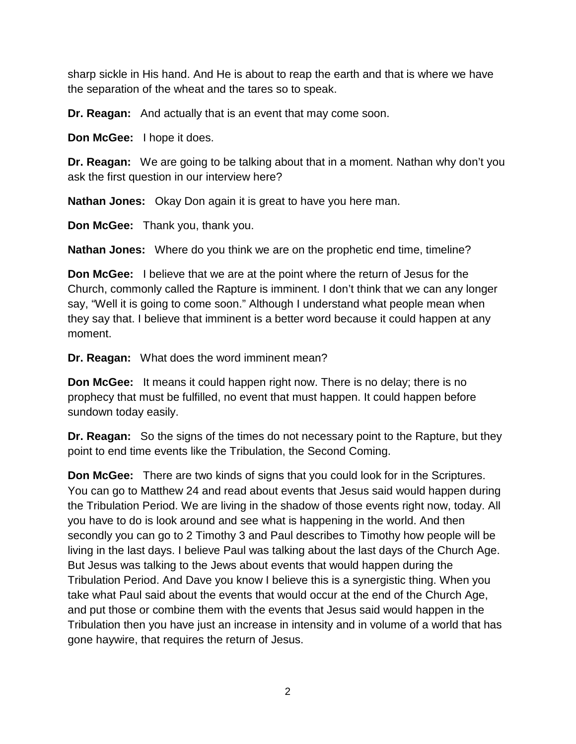sharp sickle in His hand. And He is about to reap the earth and that is where we have the separation of the wheat and the tares so to speak.

**Dr. Reagan:** And actually that is an event that may come soon.

**Don McGee:** I hope it does.

**Dr. Reagan:** We are going to be talking about that in a moment. Nathan why don't you ask the first question in our interview here?

**Nathan Jones:** Okay Don again it is great to have you here man.

**Don McGee:** Thank you, thank you.

**Nathan Jones:** Where do you think we are on the prophetic end time, timeline?

**Don McGee:** I believe that we are at the point where the return of Jesus for the Church, commonly called the Rapture is imminent. I don't think that we can any longer say, "Well it is going to come soon." Although I understand what people mean when they say that. I believe that imminent is a better word because it could happen at any moment.

**Dr. Reagan:** What does the word imminent mean?

**Don McGee:** It means it could happen right now. There is no delay; there is no prophecy that must be fulfilled, no event that must happen. It could happen before sundown today easily.

**Dr. Reagan:** So the signs of the times do not necessary point to the Rapture, but they point to end time events like the Tribulation, the Second Coming.

**Don McGee:** There are two kinds of signs that you could look for in the Scriptures. You can go to Matthew 24 and read about events that Jesus said would happen during the Tribulation Period. We are living in the shadow of those events right now, today. All you have to do is look around and see what is happening in the world. And then secondly you can go to 2 Timothy 3 and Paul describes to Timothy how people will be living in the last days. I believe Paul was talking about the last days of the Church Age. But Jesus was talking to the Jews about events that would happen during the Tribulation Period. And Dave you know I believe this is a synergistic thing. When you take what Paul said about the events that would occur at the end of the Church Age, and put those or combine them with the events that Jesus said would happen in the Tribulation then you have just an increase in intensity and in volume of a world that has gone haywire, that requires the return of Jesus.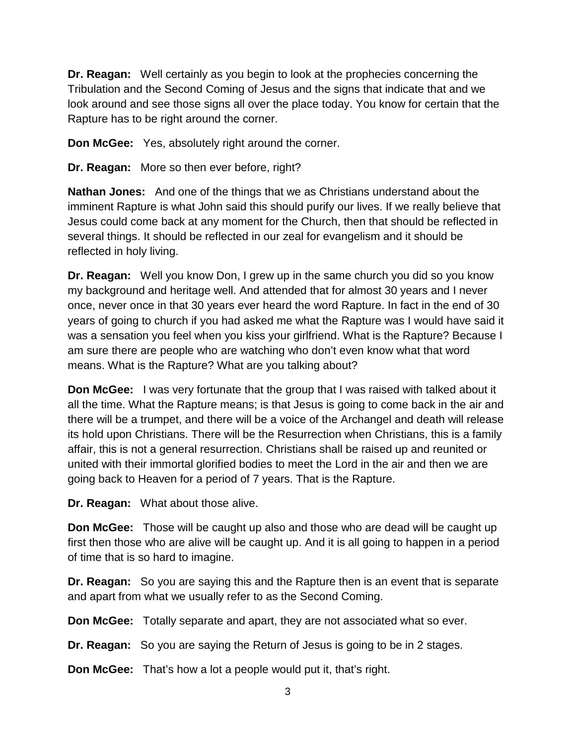**Dr. Reagan:** Well certainly as you begin to look at the prophecies concerning the Tribulation and the Second Coming of Jesus and the signs that indicate that and we look around and see those signs all over the place today. You know for certain that the Rapture has to be right around the corner.

**Don McGee:** Yes, absolutely right around the corner.

**Dr. Reagan:** More so then ever before, right?

**Nathan Jones:** And one of the things that we as Christians understand about the imminent Rapture is what John said this should purify our lives. If we really believe that Jesus could come back at any moment for the Church, then that should be reflected in several things. It should be reflected in our zeal for evangelism and it should be reflected in holy living.

**Dr. Reagan:** Well you know Don, I grew up in the same church you did so you know my background and heritage well. And attended that for almost 30 years and I never once, never once in that 30 years ever heard the word Rapture. In fact in the end of 30 years of going to church if you had asked me what the Rapture was I would have said it was a sensation you feel when you kiss your girlfriend. What is the Rapture? Because I am sure there are people who are watching who don't even know what that word means. What is the Rapture? What are you talking about?

**Don McGee:** I was very fortunate that the group that I was raised with talked about it all the time. What the Rapture means; is that Jesus is going to come back in the air and there will be a trumpet, and there will be a voice of the Archangel and death will release its hold upon Christians. There will be the Resurrection when Christians, this is a family affair, this is not a general resurrection. Christians shall be raised up and reunited or united with their immortal glorified bodies to meet the Lord in the air and then we are going back to Heaven for a period of 7 years. That is the Rapture.

**Dr. Reagan:** What about those alive.

**Don McGee:** Those will be caught up also and those who are dead will be caught up first then those who are alive will be caught up. And it is all going to happen in a period of time that is so hard to imagine.

**Dr. Reagan:** So you are saying this and the Rapture then is an event that is separate and apart from what we usually refer to as the Second Coming.

**Don McGee:** Totally separate and apart, they are not associated what so ever.

**Dr. Reagan:** So you are saying the Return of Jesus is going to be in 2 stages.

**Don McGee:** That's how a lot a people would put it, that's right.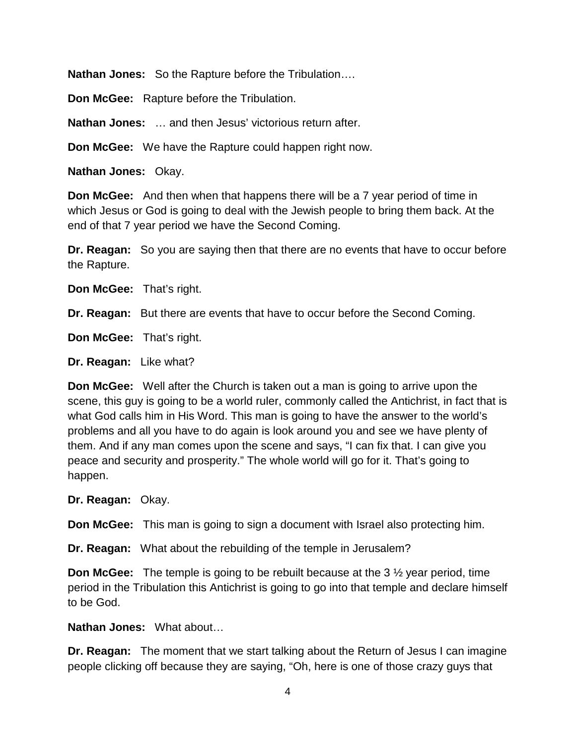**Nathan Jones:** So the Rapture before the Tribulation….

**Don McGee:** Rapture before the Tribulation.

**Nathan Jones:** … and then Jesus' victorious return after.

**Don McGee:** We have the Rapture could happen right now.

**Nathan Jones:** Okay.

**Don McGee:** And then when that happens there will be a 7 year period of time in which Jesus or God is going to deal with the Jewish people to bring them back. At the end of that 7 year period we have the Second Coming.

**Dr. Reagan:** So you are saying then that there are no events that have to occur before the Rapture.

**Don McGee:** That's right.

**Dr. Reagan:** But there are events that have to occur before the Second Coming.

**Don McGee:** That's right.

**Dr. Reagan:** Like what?

**Don McGee:** Well after the Church is taken out a man is going to arrive upon the scene, this guy is going to be a world ruler, commonly called the Antichrist, in fact that is what God calls him in His Word. This man is going to have the answer to the world's problems and all you have to do again is look around you and see we have plenty of them. And if any man comes upon the scene and says, "I can fix that. I can give you peace and security and prosperity." The whole world will go for it. That's going to happen.

**Dr. Reagan:** Okay.

**Don McGee:** This man is going to sign a document with Israel also protecting him.

**Dr. Reagan:** What about the rebuilding of the temple in Jerusalem?

**Don McGee:** The temple is going to be rebuilt because at the 3 ½ year period, time period in the Tribulation this Antichrist is going to go into that temple and declare himself to be God.

**Nathan Jones:** What about…

**Dr. Reagan:** The moment that we start talking about the Return of Jesus I can imagine people clicking off because they are saying, "Oh, here is one of those crazy guys that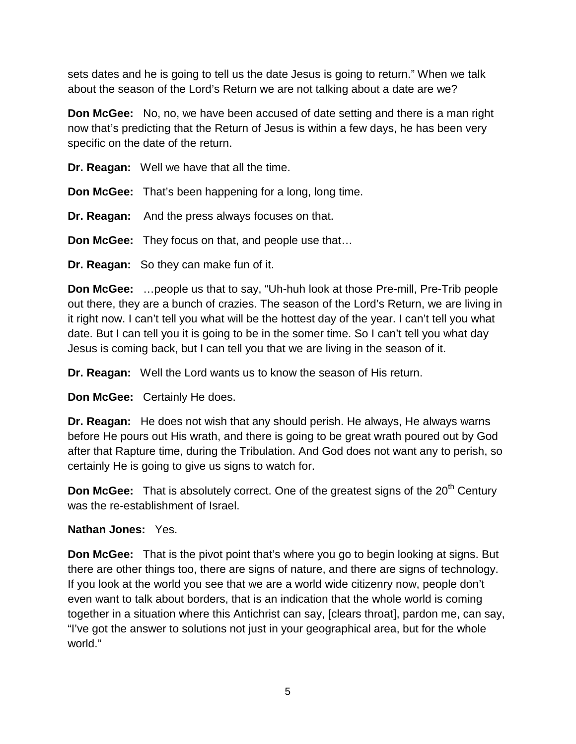sets dates and he is going to tell us the date Jesus is going to return." When we talk about the season of the Lord's Return we are not talking about a date are we?

**Don McGee:** No, no, we have been accused of date setting and there is a man right now that's predicting that the Return of Jesus is within a few days, he has been very specific on the date of the return.

**Dr. Reagan:** Well we have that all the time.

**Don McGee:** That's been happening for a long, long time.

**Dr. Reagan:** And the press always focuses on that.

**Don McGee:** They focus on that, and people use that…

**Dr. Reagan:** So they can make fun of it.

**Don McGee:** …people us that to say, "Uh-huh look at those Pre-mill, Pre-Trib people out there, they are a bunch of crazies. The season of the Lord's Return, we are living in it right now. I can't tell you what will be the hottest day of the year. I can't tell you what date. But I can tell you it is going to be in the somer time. So I can't tell you what day Jesus is coming back, but I can tell you that we are living in the season of it.

**Dr. Reagan:** Well the Lord wants us to know the season of His return.

**Don McGee:** Certainly He does.

**Dr. Reagan:** He does not wish that any should perish. He always, He always warns before He pours out His wrath, and there is going to be great wrath poured out by God after that Rapture time, during the Tribulation. And God does not want any to perish, so certainly He is going to give us signs to watch for.

**Don McGee:** That is absolutely correct. One of the greatest signs of the 20<sup>th</sup> Century was the re-establishment of Israel.

#### **Nathan Jones:** Yes.

**Don McGee:** That is the pivot point that's where you go to begin looking at signs. But there are other things too, there are signs of nature, and there are signs of technology. If you look at the world you see that we are a world wide citizenry now, people don't even want to talk about borders, that is an indication that the whole world is coming together in a situation where this Antichrist can say, [clears throat], pardon me, can say, "I've got the answer to solutions not just in your geographical area, but for the whole world."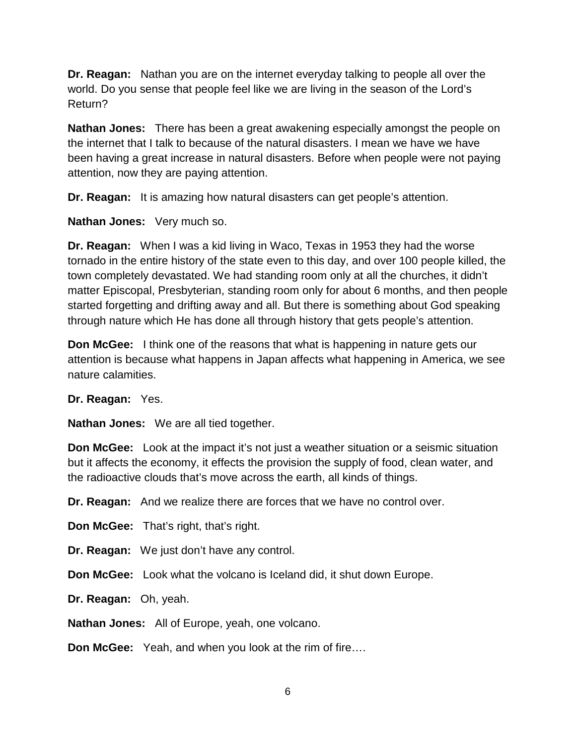**Dr. Reagan:** Nathan you are on the internet everyday talking to people all over the world. Do you sense that people feel like we are living in the season of the Lord's Return?

**Nathan Jones:** There has been a great awakening especially amongst the people on the internet that I talk to because of the natural disasters. I mean we have we have been having a great increase in natural disasters. Before when people were not paying attention, now they are paying attention.

**Dr. Reagan:** It is amazing how natural disasters can get people's attention.

**Nathan Jones:** Very much so.

**Dr. Reagan:** When I was a kid living in Waco, Texas in 1953 they had the worse tornado in the entire history of the state even to this day, and over 100 people killed, the town completely devastated. We had standing room only at all the churches, it didn't matter Episcopal, Presbyterian, standing room only for about 6 months, and then people started forgetting and drifting away and all. But there is something about God speaking through nature which He has done all through history that gets people's attention.

**Don McGee:** I think one of the reasons that what is happening in nature gets our attention is because what happens in Japan affects what happening in America, we see nature calamities.

**Dr. Reagan:** Yes.

**Nathan Jones:** We are all tied together.

**Don McGee:** Look at the impact it's not just a weather situation or a seismic situation but it affects the economy, it effects the provision the supply of food, clean water, and the radioactive clouds that's move across the earth, all kinds of things.

**Dr. Reagan:** And we realize there are forces that we have no control over.

**Don McGee:** That's right, that's right.

**Dr. Reagan:** We just don't have any control.

**Don McGee:** Look what the volcano is Iceland did, it shut down Europe.

**Dr. Reagan:** Oh, yeah.

**Nathan Jones:** All of Europe, yeah, one volcano.

**Don McGee:** Yeah, and when you look at the rim of fire….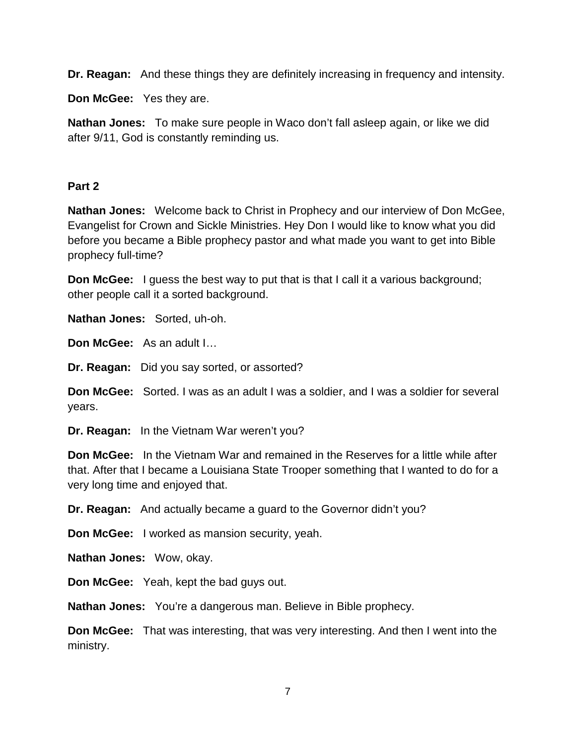**Dr. Reagan:** And these things they are definitely increasing in frequency and intensity.

**Don McGee:** Yes they are.

**Nathan Jones:** To make sure people in Waco don't fall asleep again, or like we did after 9/11, God is constantly reminding us.

# **Part 2**

**Nathan Jones:** Welcome back to Christ in Prophecy and our interview of Don McGee, Evangelist for Crown and Sickle Ministries. Hey Don I would like to know what you did before you became a Bible prophecy pastor and what made you want to get into Bible prophecy full-time?

**Don McGee:** I guess the best way to put that is that I call it a various background; other people call it a sorted background.

**Nathan Jones:** Sorted, uh-oh.

**Don McGee:** As an adult I…

**Dr. Reagan:** Did you say sorted, or assorted?

**Don McGee:** Sorted. I was as an adult I was a soldier, and I was a soldier for several years.

**Dr. Reagan:** In the Vietnam War weren't you?

**Don McGee:** In the Vietnam War and remained in the Reserves for a little while after that. After that I became a Louisiana State Trooper something that I wanted to do for a very long time and enjoyed that.

**Dr. Reagan:** And actually became a guard to the Governor didn't you?

**Don McGee:** I worked as mansion security, yeah.

**Nathan Jones:** Wow, okay.

**Don McGee:** Yeah, kept the bad guys out.

**Nathan Jones:** You're a dangerous man. Believe in Bible prophecy.

**Don McGee:** That was interesting, that was very interesting. And then I went into the ministry.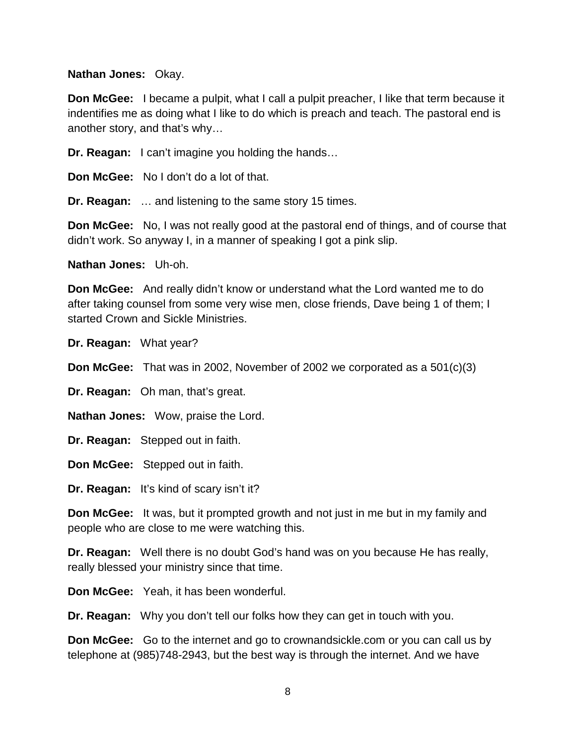**Nathan Jones:** Okay.

**Don McGee:** I became a pulpit, what I call a pulpit preacher, I like that term because it indentifies me as doing what I like to do which is preach and teach. The pastoral end is another story, and that's why…

**Dr. Reagan:** I can't imagine you holding the hands…

**Don McGee:** No I don't do a lot of that.

**Dr. Reagan:** … and listening to the same story 15 times.

**Don McGee:** No, I was not really good at the pastoral end of things, and of course that didn't work. So anyway I, in a manner of speaking I got a pink slip.

**Nathan Jones:** Uh-oh.

**Don McGee:** And really didn't know or understand what the Lord wanted me to do after taking counsel from some very wise men, close friends, Dave being 1 of them; I started Crown and Sickle Ministries.

**Dr. Reagan:** What year?

**Don McGee:** That was in 2002, November of 2002 we corporated as a 501(c)(3)

**Dr. Reagan:** Oh man, that's great.

**Nathan Jones:** Wow, praise the Lord.

**Dr. Reagan:** Stepped out in faith.

**Don McGee:** Stepped out in faith.

**Dr. Reagan:** It's kind of scary isn't it?

**Don McGee:** It was, but it prompted growth and not just in me but in my family and people who are close to me were watching this.

**Dr. Reagan:** Well there is no doubt God's hand was on you because He has really, really blessed your ministry since that time.

**Don McGee:** Yeah, it has been wonderful.

**Dr. Reagan:** Why you don't tell our folks how they can get in touch with you.

**Don McGee:** Go to the internet and go to crownandsickle.com or you can call us by telephone at (985)748-2943, but the best way is through the internet. And we have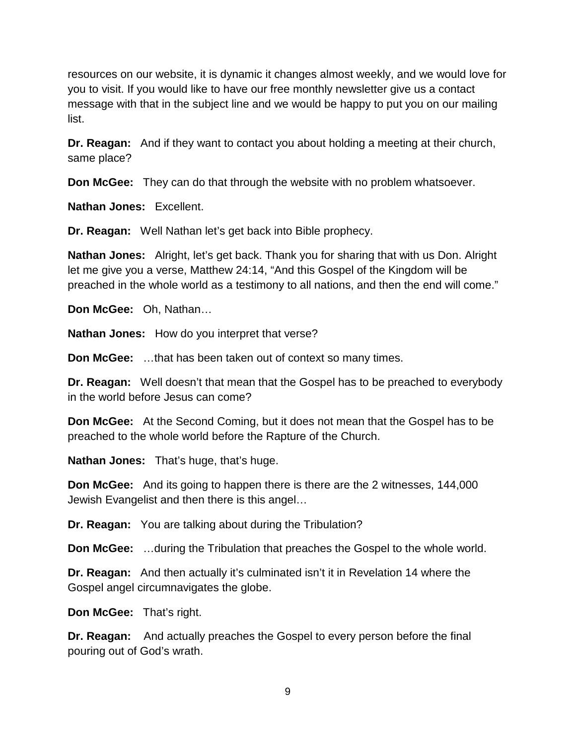resources on our website, it is dynamic it changes almost weekly, and we would love for you to visit. If you would like to have our free monthly newsletter give us a contact message with that in the subject line and we would be happy to put you on our mailing list.

**Dr. Reagan:** And if they want to contact you about holding a meeting at their church, same place?

**Don McGee:** They can do that through the website with no problem whatsoever.

**Nathan Jones:** Excellent.

**Dr. Reagan:** Well Nathan let's get back into Bible prophecy.

**Nathan Jones:** Alright, let's get back. Thank you for sharing that with us Don. Alright let me give you a verse, Matthew 24:14, "And this Gospel of the Kingdom will be preached in the whole world as a testimony to all nations, and then the end will come."

**Don McGee:** Oh, Nathan…

**Nathan Jones:** How do you interpret that verse?

**Don McGee:** …that has been taken out of context so many times.

**Dr. Reagan:** Well doesn't that mean that the Gospel has to be preached to everybody in the world before Jesus can come?

**Don McGee:** At the Second Coming, but it does not mean that the Gospel has to be preached to the whole world before the Rapture of the Church.

**Nathan Jones:** That's huge, that's huge.

**Don McGee:** And its going to happen there is there are the 2 witnesses, 144,000 Jewish Evangelist and then there is this angel…

**Dr. Reagan:** You are talking about during the Tribulation?

**Don McGee:** …during the Tribulation that preaches the Gospel to the whole world.

**Dr. Reagan:** And then actually it's culminated isn't it in Revelation 14 where the Gospel angel circumnavigates the globe.

**Don McGee:** That's right.

**Dr. Reagan:** And actually preaches the Gospel to every person before the final pouring out of God's wrath.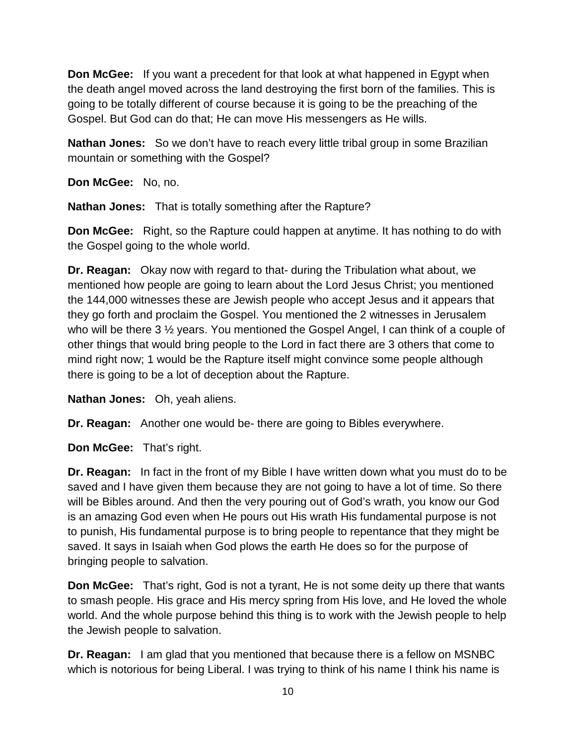**Don McGee:** If you want a precedent for that look at what happened in Egypt when the death angel moved across the land destroying the first born of the families. This is going to be totally different of course because it is going to be the preaching of the Gospel. But God can do that; He can move His messengers as He wills.

**Nathan Jones:** So we don't have to reach every little tribal group in some Brazilian mountain or something with the Gospel?

**Don McGee:** No, no.

**Nathan Jones:** That is totally something after the Rapture?

**Don McGee:** Right, so the Rapture could happen at anytime. It has nothing to do with the Gospel going to the whole world.

**Dr. Reagan:** Okay now with regard to that- during the Tribulation what about, we mentioned how people are going to learn about the Lord Jesus Christ; you mentioned the 144,000 witnesses these are Jewish people who accept Jesus and it appears that they go forth and proclaim the Gospel. You mentioned the 2 witnesses in Jerusalem who will be there 3 <sup>1/2</sup> years. You mentioned the Gospel Angel, I can think of a couple of other things that would bring people to the Lord in fact there are 3 others that come to mind right now; 1 would be the Rapture itself might convince some people although there is going to be a lot of deception about the Rapture.

**Nathan Jones:** Oh, yeah aliens.

**Dr. Reagan:** Another one would be- there are going to Bibles everywhere.

**Don McGee:** That's right.

**Dr. Reagan:** In fact in the front of my Bible I have written down what you must do to be saved and I have given them because they are not going to have a lot of time. So there will be Bibles around. And then the very pouring out of God's wrath, you know our God is an amazing God even when He pours out His wrath His fundamental purpose is not to punish, His fundamental purpose is to bring people to repentance that they might be saved. It says in Isaiah when God plows the earth He does so for the purpose of bringing people to salvation.

**Don McGee:** That's right, God is not a tyrant, He is not some deity up there that wants to smash people. His grace and His mercy spring from His love, and He loved the whole world. And the whole purpose behind this thing is to work with the Jewish people to help the Jewish people to salvation.

**Dr. Reagan:** I am glad that you mentioned that because there is a fellow on MSNBC which is notorious for being Liberal. I was trying to think of his name I think his name is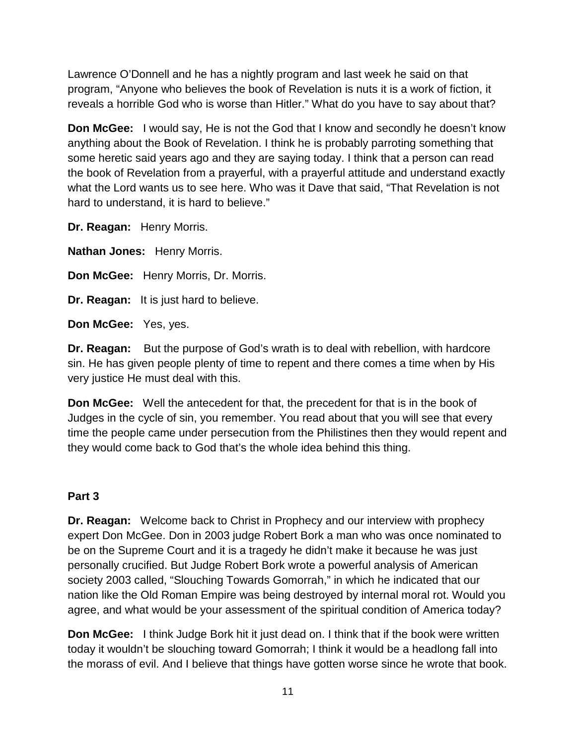Lawrence O'Donnell and he has a nightly program and last week he said on that program, "Anyone who believes the book of Revelation is nuts it is a work of fiction, it reveals a horrible God who is worse than Hitler." What do you have to say about that?

**Don McGee:** I would say, He is not the God that I know and secondly he doesn't know anything about the Book of Revelation. I think he is probably parroting something that some heretic said years ago and they are saying today. I think that a person can read the book of Revelation from a prayerful, with a prayerful attitude and understand exactly what the Lord wants us to see here. Who was it Dave that said, "That Revelation is not hard to understand, it is hard to believe."

**Dr. Reagan:** Henry Morris.

**Nathan Jones:** Henry Morris.

**Don McGee:** Henry Morris, Dr. Morris.

**Dr. Reagan:** It is just hard to believe.

**Don McGee:** Yes, yes.

**Dr. Reagan:** But the purpose of God's wrath is to deal with rebellion, with hardcore sin. He has given people plenty of time to repent and there comes a time when by His very justice He must deal with this.

**Don McGee:** Well the antecedent for that, the precedent for that is in the book of Judges in the cycle of sin, you remember. You read about that you will see that every time the people came under persecution from the Philistines then they would repent and they would come back to God that's the whole idea behind this thing.

#### **Part 3**

**Dr. Reagan:** Welcome back to Christ in Prophecy and our interview with prophecy expert Don McGee. Don in 2003 judge Robert Bork a man who was once nominated to be on the Supreme Court and it is a tragedy he didn't make it because he was just personally crucified. But Judge Robert Bork wrote a powerful analysis of American society 2003 called, "Slouching Towards Gomorrah," in which he indicated that our nation like the Old Roman Empire was being destroyed by internal moral rot. Would you agree, and what would be your assessment of the spiritual condition of America today?

**Don McGee:** I think Judge Bork hit it just dead on. I think that if the book were written today it wouldn't be slouching toward Gomorrah; I think it would be a headlong fall into the morass of evil. And I believe that things have gotten worse since he wrote that book.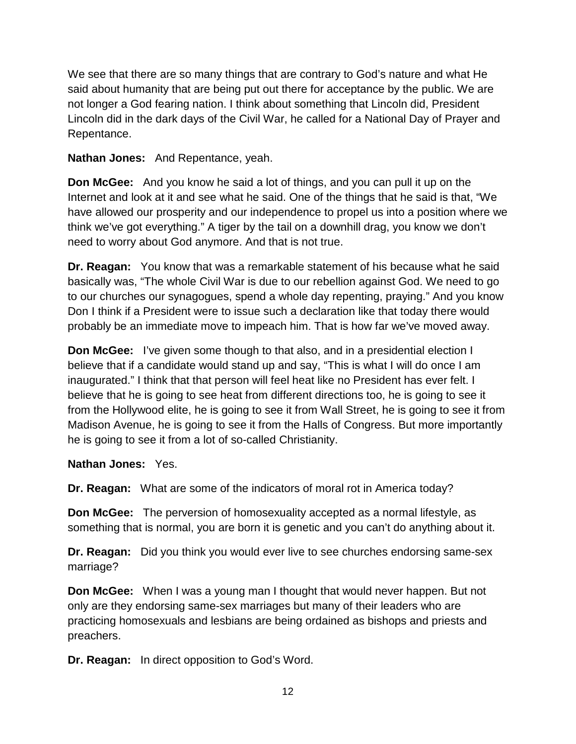We see that there are so many things that are contrary to God's nature and what He said about humanity that are being put out there for acceptance by the public. We are not longer a God fearing nation. I think about something that Lincoln did, President Lincoln did in the dark days of the Civil War, he called for a National Day of Prayer and Repentance.

**Nathan Jones:** And Repentance, yeah.

**Don McGee:** And you know he said a lot of things, and you can pull it up on the Internet and look at it and see what he said. One of the things that he said is that, "We have allowed our prosperity and our independence to propel us into a position where we think we've got everything." A tiger by the tail on a downhill drag, you know we don't need to worry about God anymore. And that is not true.

**Dr. Reagan:** You know that was a remarkable statement of his because what he said basically was, "The whole Civil War is due to our rebellion against God. We need to go to our churches our synagogues, spend a whole day repenting, praying." And you know Don I think if a President were to issue such a declaration like that today there would probably be an immediate move to impeach him. That is how far we've moved away.

**Don McGee:** I've given some though to that also, and in a presidential election I believe that if a candidate would stand up and say, "This is what I will do once I am inaugurated." I think that that person will feel heat like no President has ever felt. I believe that he is going to see heat from different directions too, he is going to see it from the Hollywood elite, he is going to see it from Wall Street, he is going to see it from Madison Avenue, he is going to see it from the Halls of Congress. But more importantly he is going to see it from a lot of so-called Christianity.

**Nathan Jones:** Yes.

**Dr. Reagan:** What are some of the indicators of moral rot in America today?

**Don McGee:** The perversion of homosexuality accepted as a normal lifestyle, as something that is normal, you are born it is genetic and you can't do anything about it.

**Dr. Reagan:** Did you think you would ever live to see churches endorsing same-sex marriage?

**Don McGee:** When I was a young man I thought that would never happen. But not only are they endorsing same-sex marriages but many of their leaders who are practicing homosexuals and lesbians are being ordained as bishops and priests and preachers.

**Dr. Reagan:** In direct opposition to God's Word.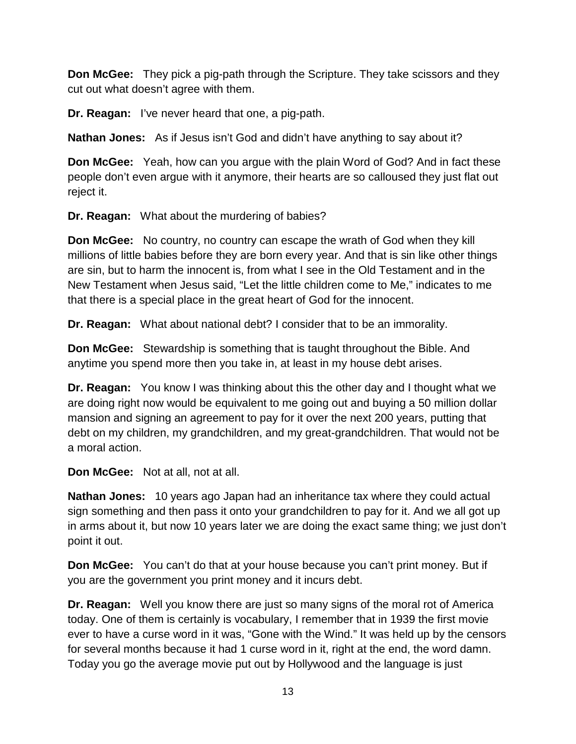**Don McGee:** They pick a pig-path through the Scripture. They take scissors and they cut out what doesn't agree with them.

**Dr. Reagan:** I've never heard that one, a pig-path.

**Nathan Jones:** As if Jesus isn't God and didn't have anything to say about it?

**Don McGee:** Yeah, how can you argue with the plain Word of God? And in fact these people don't even argue with it anymore, their hearts are so calloused they just flat out reject it.

**Dr. Reagan:** What about the murdering of babies?

**Don McGee:** No country, no country can escape the wrath of God when they kill millions of little babies before they are born every year. And that is sin like other things are sin, but to harm the innocent is, from what I see in the Old Testament and in the New Testament when Jesus said, "Let the little children come to Me," indicates to me that there is a special place in the great heart of God for the innocent.

**Dr. Reagan:** What about national debt? I consider that to be an immorality.

**Don McGee:** Stewardship is something that is taught throughout the Bible. And anytime you spend more then you take in, at least in my house debt arises.

**Dr. Reagan:** You know I was thinking about this the other day and I thought what we are doing right now would be equivalent to me going out and buying a 50 million dollar mansion and signing an agreement to pay for it over the next 200 years, putting that debt on my children, my grandchildren, and my great-grandchildren. That would not be a moral action.

**Don McGee:** Not at all, not at all.

**Nathan Jones:** 10 years ago Japan had an inheritance tax where they could actual sign something and then pass it onto your grandchildren to pay for it. And we all got up in arms about it, but now 10 years later we are doing the exact same thing; we just don't point it out.

**Don McGee:** You can't do that at your house because you can't print money. But if you are the government you print money and it incurs debt.

**Dr. Reagan:** Well you know there are just so many signs of the moral rot of America today. One of them is certainly is vocabulary, I remember that in 1939 the first movie ever to have a curse word in it was, "Gone with the Wind." It was held up by the censors for several months because it had 1 curse word in it, right at the end, the word damn. Today you go the average movie put out by Hollywood and the language is just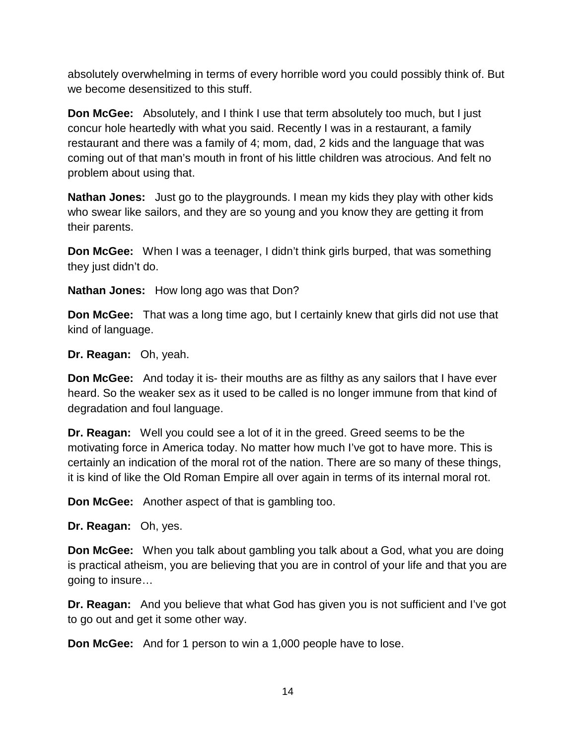absolutely overwhelming in terms of every horrible word you could possibly think of. But we become desensitized to this stuff.

**Don McGee:** Absolutely, and I think I use that term absolutely too much, but I just concur hole heartedly with what you said. Recently I was in a restaurant, a family restaurant and there was a family of 4; mom, dad, 2 kids and the language that was coming out of that man's mouth in front of his little children was atrocious. And felt no problem about using that.

**Nathan Jones:** Just go to the playgrounds. I mean my kids they play with other kids who swear like sailors, and they are so young and you know they are getting it from their parents.

**Don McGee:** When I was a teenager, I didn't think girls burped, that was something they just didn't do.

**Nathan Jones:** How long ago was that Don?

**Don McGee:** That was a long time ago, but I certainly knew that girls did not use that kind of language.

**Dr. Reagan:** Oh, yeah.

**Don McGee:** And today it is- their mouths are as filthy as any sailors that I have ever heard. So the weaker sex as it used to be called is no longer immune from that kind of degradation and foul language.

**Dr. Reagan:** Well you could see a lot of it in the greed. Greed seems to be the motivating force in America today. No matter how much I've got to have more. This is certainly an indication of the moral rot of the nation. There are so many of these things, it is kind of like the Old Roman Empire all over again in terms of its internal moral rot.

**Don McGee:** Another aspect of that is gambling too.

**Dr. Reagan:** Oh, yes.

**Don McGee:** When you talk about gambling you talk about a God, what you are doing is practical atheism, you are believing that you are in control of your life and that you are going to insure…

**Dr. Reagan:** And you believe that what God has given you is not sufficient and I've got to go out and get it some other way.

**Don McGee:** And for 1 person to win a 1,000 people have to lose.